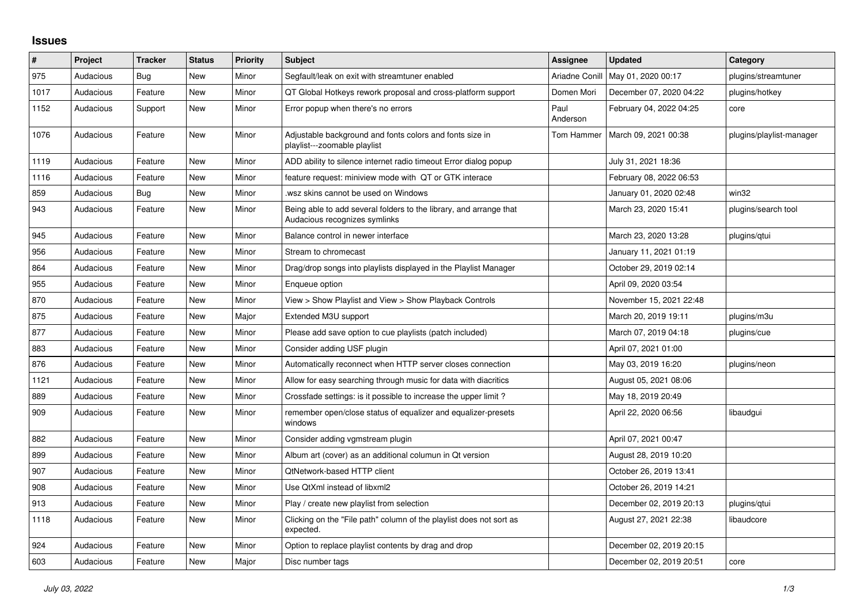## **Issues**

| #    | Project   | <b>Tracker</b> | <b>Status</b> | <b>Priority</b> | Subject                                                                                             | <b>Assignee</b>  | <b>Updated</b>          | Category                 |
|------|-----------|----------------|---------------|-----------------|-----------------------------------------------------------------------------------------------------|------------------|-------------------------|--------------------------|
| 975  | Audacious | Bug            | New           | Minor           | Segfault/leak on exit with streamtuner enabled                                                      | Ariadne Conill   | May 01, 2020 00:17      | plugins/streamtuner      |
| 1017 | Audacious | Feature        | New           | Minor           | QT Global Hotkeys rework proposal and cross-platform support                                        | Domen Mori       | December 07, 2020 04:22 | plugins/hotkey           |
| 1152 | Audacious | Support        | <b>New</b>    | Minor           | Error popup when there's no errors                                                                  | Paul<br>Anderson | February 04, 2022 04:25 | core                     |
| 1076 | Audacious | Feature        | New           | Minor           | Adjustable background and fonts colors and fonts size in<br>playlist---zoomable playlist            | Tom Hammer       | March 09, 2021 00:38    | plugins/playlist-manager |
| 1119 | Audacious | Feature        | New           | Minor           | ADD ability to silence internet radio timeout Error dialog popup                                    |                  | July 31, 2021 18:36     |                          |
| 1116 | Audacious | Feature        | New           | Minor           | feature request: miniview mode with QT or GTK interace                                              |                  | February 08, 2022 06:53 |                          |
| 859  | Audacious | Bug            | New           | Minor           | wsz skins cannot be used on Windows                                                                 |                  | January 01, 2020 02:48  | win32                    |
| 943  | Audacious | Feature        | New           | Minor           | Being able to add several folders to the library, and arrange that<br>Audacious recognizes symlinks |                  | March 23, 2020 15:41    | plugins/search tool      |
| 945  | Audacious | Feature        | New           | Minor           | Balance control in newer interface                                                                  |                  | March 23, 2020 13:28    | plugins/qtui             |
| 956  | Audacious | Feature        | New           | Minor           | Stream to chromecast                                                                                |                  | January 11, 2021 01:19  |                          |
| 864  | Audacious | Feature        | New           | Minor           | Drag/drop songs into playlists displayed in the Playlist Manager                                    |                  | October 29, 2019 02:14  |                          |
| 955  | Audacious | Feature        | <b>New</b>    | Minor           | Enqueue option                                                                                      |                  | April 09, 2020 03:54    |                          |
| 870  | Audacious | Feature        | New           | Minor           | View > Show Playlist and View > Show Playback Controls                                              |                  | November 15, 2021 22:48 |                          |
| 875  | Audacious | Feature        | New           | Major           | Extended M3U support                                                                                |                  | March 20, 2019 19:11    | plugins/m3u              |
| 877  | Audacious | Feature        | New           | Minor           | Please add save option to cue playlists (patch included)                                            |                  | March 07, 2019 04:18    | plugins/cue              |
| 883  | Audacious | Feature        | New           | Minor           | Consider adding USF plugin                                                                          |                  | April 07, 2021 01:00    |                          |
| 876  | Audacious | Feature        | New           | Minor           | Automatically reconnect when HTTP server closes connection                                          |                  | May 03, 2019 16:20      | plugins/neon             |
| 1121 | Audacious | Feature        | <b>New</b>    | Minor           | Allow for easy searching through music for data with diacritics                                     |                  | August 05, 2021 08:06   |                          |
| 889  | Audacious | Feature        | New           | Minor           | Crossfade settings: is it possible to increase the upper limit?                                     |                  | May 18, 2019 20:49      |                          |
| 909  | Audacious | Feature        | New           | Minor           | remember open/close status of equalizer and equalizer-presets<br>windows                            |                  | April 22, 2020 06:56    | libaudgui                |
| 882  | Audacious | Feature        | <b>New</b>    | Minor           | Consider adding vgmstream plugin                                                                    |                  | April 07, 2021 00:47    |                          |
| 899  | Audacious | Feature        | New           | Minor           | Album art (cover) as an additional columun in Qt version                                            |                  | August 28, 2019 10:20   |                          |
| 907  | Audacious | Feature        | <b>New</b>    | Minor           | QtNetwork-based HTTP client                                                                         |                  | October 26, 2019 13:41  |                          |
| 908  | Audacious | Feature        | New           | Minor           | Use QtXml instead of libxml2                                                                        |                  | October 26, 2019 14:21  |                          |
| 913  | Audacious | Feature        | <b>New</b>    | Minor           | Play / create new playlist from selection                                                           |                  | December 02, 2019 20:13 | plugins/gtui             |
| 1118 | Audacious | Feature        | New           | Minor           | Clicking on the "File path" column of the playlist does not sort as<br>expected.                    |                  | August 27, 2021 22:38   | libaudcore               |
| 924  | Audacious | Feature        | <b>New</b>    | Minor           | Option to replace playlist contents by drag and drop                                                |                  | December 02, 2019 20:15 |                          |
| 603  | Audacious | Feature        | New           | Major           | Disc number tags                                                                                    |                  | December 02, 2019 20:51 | core                     |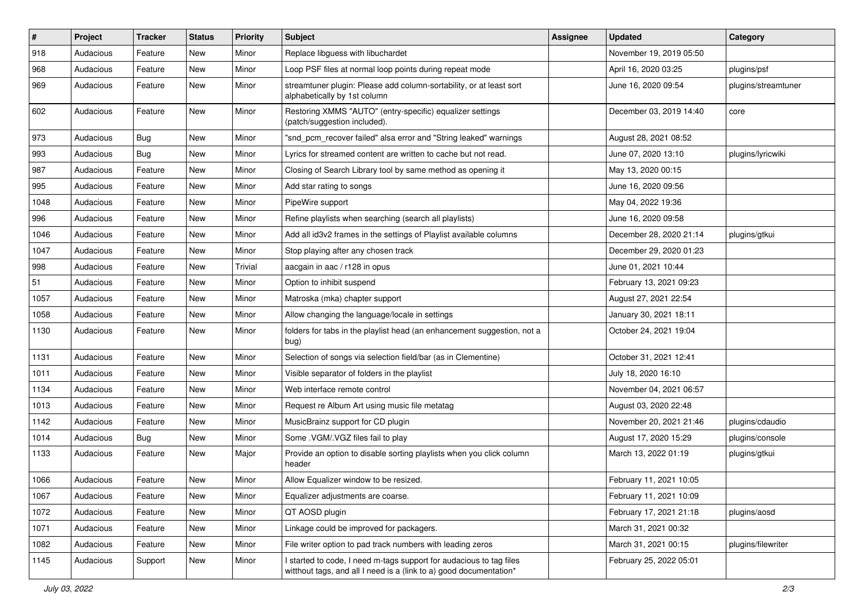| $\vert$ # | Project   | <b>Tracker</b> | <b>Status</b> | <b>Priority</b> | <b>Subject</b>                                                                                                                            | <b>Assignee</b> | <b>Updated</b>          | Category            |
|-----------|-----------|----------------|---------------|-----------------|-------------------------------------------------------------------------------------------------------------------------------------------|-----------------|-------------------------|---------------------|
| 918       | Audacious | Feature        | New           | Minor           | Replace libguess with libuchardet                                                                                                         |                 | November 19, 2019 05:50 |                     |
| 968       | Audacious | Feature        | <b>New</b>    | Minor           | Loop PSF files at normal loop points during repeat mode                                                                                   |                 | April 16, 2020 03:25    | plugins/psf         |
| 969       | Audacious | Feature        | New           | Minor           | streamtuner plugin: Please add column-sortability, or at least sort<br>alphabetically by 1st column                                       |                 | June 16, 2020 09:54     | plugins/streamtuner |
| 602       | Audacious | Feature        | <b>New</b>    | Minor           | Restoring XMMS "AUTO" (entry-specific) equalizer settings<br>(patch/suggestion included).                                                 |                 | December 03, 2019 14:40 | core                |
| 973       | Audacious | Bug            | New           | Minor           | "snd_pcm_recover failed" alsa error and "String leaked" warnings                                                                          |                 | August 28, 2021 08:52   |                     |
| 993       | Audacious | <b>Bug</b>     | New           | Minor           | Lyrics for streamed content are written to cache but not read.                                                                            |                 | June 07, 2020 13:10     | plugins/lyricwiki   |
| 987       | Audacious | Feature        | New           | Minor           | Closing of Search Library tool by same method as opening it                                                                               |                 | May 13, 2020 00:15      |                     |
| 995       | Audacious | Feature        | New           | Minor           | Add star rating to songs                                                                                                                  |                 | June 16, 2020 09:56     |                     |
| 1048      | Audacious | Feature        | New           | Minor           | PipeWire support                                                                                                                          |                 | May 04, 2022 19:36      |                     |
| 996       | Audacious | Feature        | New           | Minor           | Refine playlists when searching (search all playlists)                                                                                    |                 | June 16, 2020 09:58     |                     |
| 1046      | Audacious | Feature        | New           | Minor           | Add all id3v2 frames in the settings of Playlist available columns                                                                        |                 | December 28, 2020 21:14 | plugins/gtkui       |
| 1047      | Audacious | Feature        | New           | Minor           | Stop playing after any chosen track                                                                                                       |                 | December 29, 2020 01:23 |                     |
| 998       | Audacious | Feature        | <b>New</b>    | Trivial         | aacgain in aac / r128 in opus                                                                                                             |                 | June 01, 2021 10:44     |                     |
| 51        | Audacious | Feature        | New           | Minor           | Option to inhibit suspend                                                                                                                 |                 | February 13, 2021 09:23 |                     |
| 1057      | Audacious | Feature        | New           | Minor           | Matroska (mka) chapter support                                                                                                            |                 | August 27, 2021 22:54   |                     |
| 1058      | Audacious | Feature        | New           | Minor           | Allow changing the language/locale in settings                                                                                            |                 | January 30, 2021 18:11  |                     |
| 1130      | Audacious | Feature        | New           | Minor           | folders for tabs in the playlist head (an enhancement suggestion, not a<br>bug)                                                           |                 | October 24, 2021 19:04  |                     |
| 1131      | Audacious | Feature        | New           | Minor           | Selection of songs via selection field/bar (as in Clementine)                                                                             |                 | October 31, 2021 12:41  |                     |
| 1011      | Audacious | Feature        | New           | Minor           | Visible separator of folders in the playlist                                                                                              |                 | July 18, 2020 16:10     |                     |
| 1134      | Audacious | Feature        | New           | Minor           | Web interface remote control                                                                                                              |                 | November 04, 2021 06:57 |                     |
| 1013      | Audacious | Feature        | New           | Minor           | Request re Album Art using music file metatag                                                                                             |                 | August 03, 2020 22:48   |                     |
| 1142      | Audacious | Feature        | New           | Minor           | MusicBrainz support for CD plugin                                                                                                         |                 | November 20, 2021 21:46 | plugins/cdaudio     |
| 1014      | Audacious | <b>Bug</b>     | New           | Minor           | Some .VGM/.VGZ files fail to play                                                                                                         |                 | August 17, 2020 15:29   | plugins/console     |
| 1133      | Audacious | Feature        | New           | Major           | Provide an option to disable sorting playlists when you click column<br>header                                                            |                 | March 13, 2022 01:19    | plugins/gtkui       |
| 1066      | Audacious | Feature        | New           | Minor           | Allow Equalizer window to be resized.                                                                                                     |                 | February 11, 2021 10:05 |                     |
| 1067      | Audacious | Feature        | New           | Minor           | Equalizer adjustments are coarse.                                                                                                         |                 | February 11, 2021 10:09 |                     |
| 1072      | Audacious | Feature        | New           | Minor           | QT AOSD plugin                                                                                                                            |                 | February 17, 2021 21:18 | plugins/aosd        |
| 1071      | Audacious | Feature        | New           | Minor           | Linkage could be improved for packagers.                                                                                                  |                 | March 31, 2021 00:32    |                     |
| 1082      | Audacious | Feature        | New           | Minor           | File writer option to pad track numbers with leading zeros                                                                                |                 | March 31, 2021 00:15    | plugins/filewriter  |
| 1145      | Audacious | Support        | New           | Minor           | I started to code, I need m-tags support for audacious to tag files<br>witthout tags, and all I need is a (link to a) good documentation* |                 | February 25, 2022 05:01 |                     |